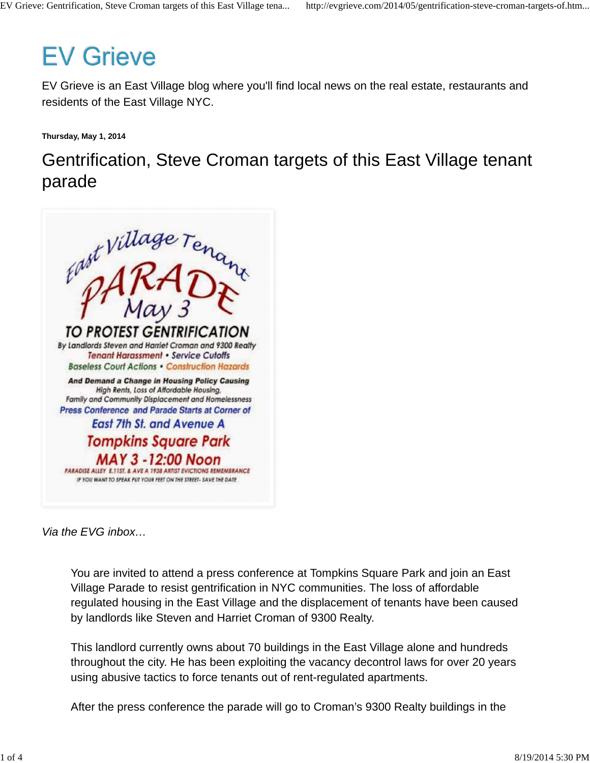# **EV Grieve**

EV Grieve is an East Village blog where you'll find local news on the real estate, restaurants and residents of the East Village NYC.

**Thursday, May 1, 2014**

Gentrification, Steve Croman targets of this East Village tenant parade



Via the EVG inbox…

You are invited to attend a press conference at Tompkins Square Park and join an East Village Parade to resist gentrification in NYC communities. The loss of affordable regulated housing in the East Village and the displacement of tenants have been caused by landlords like Steven and Harriet Croman of 9300 Realty.

This landlord currently owns about 70 buildings in the East Village alone and hundreds throughout the city. He has been exploiting the vacancy decontrol laws for over 20 years using abusive tactics to force tenants out of rent-regulated apartments.

After the press conference the parade will go to Croman's 9300 Realty buildings in the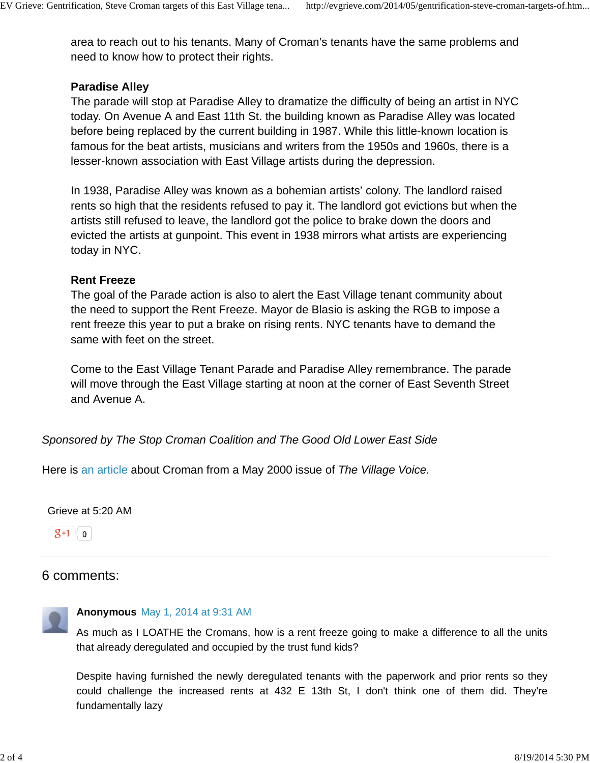area to reach out to his tenants. Many of Croman's tenants have the same problems and need to know how to protect their rights.

# **Paradise Alley**

The parade will stop at Paradise Alley to dramatize the difficulty of being an artist in NYC today. On Avenue A and East 11th St. the building known as Paradise Alley was located before being replaced by the current building in 1987. While this little-known location is famous for the beat artists, musicians and writers from the 1950s and 1960s, there is a lesser-known association with East Village artists during the depression.

In 1938, Paradise Alley was known as a bohemian artists' colony. The landlord raised rents so high that the residents refused to pay it. The landlord got evictions but when the artists still refused to leave, the landlord got the police to brake down the doors and evicted the artists at gunpoint. This event in 1938 mirrors what artists are experiencing today in NYC.

# **Rent Freeze**

The goal of the Parade action is also to alert the East Village tenant community about the need to support the Rent Freeze. Mayor de Blasio is asking the RGB to impose a rent freeze this year to put a brake on rising rents. NYC tenants have to demand the same with feet on the street.

Come to the East Village Tenant Parade and Paradise Alley remembrance. The parade will move through the East Village starting at noon at the corner of East Seventh Street and Avenue A.

Sponsored by The Stop Croman Coalition and The Good Old Lower East Side

Here is an article about Croman from a May 2000 issue of The Village Voice.

Grieve at 5:20 AM

 $\mathbf{g}$ +1  $\leq$  0

# 6 comments:



## **Anonymous** May 1, 2014 at 9:31 AM

As much as I LOATHE the Cromans, how is a rent freeze going to make a difference to all the units that already deregulated and occupied by the trust fund kids?

Despite having furnished the newly deregulated tenants with the paperwork and prior rents so they could challenge the increased rents at 432 E 13th St, I don't think one of them did. They're fundamentally lazy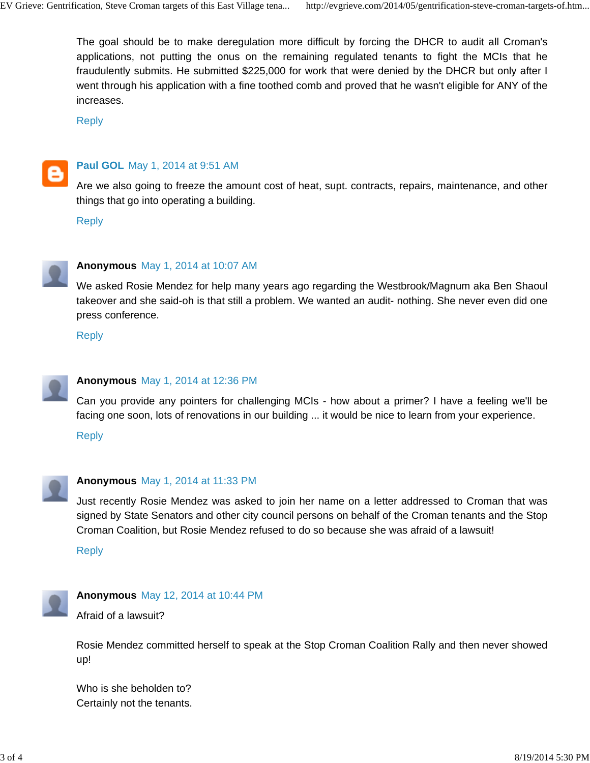The goal should be to make deregulation more difficult by forcing the DHCR to audit all Croman's applications, not putting the onus on the remaining regulated tenants to fight the MCIs that he fraudulently submits. He submitted \$225,000 for work that were denied by the DHCR but only after I went through his application with a fine toothed comb and proved that he wasn't eligible for ANY of the increases.

Reply



#### **Paul GOL** May 1, 2014 at 9:51 AM

Are we also going to freeze the amount cost of heat, supt. contracts, repairs, maintenance, and other things that go into operating a building.

Reply



#### **Anonymous** May 1, 2014 at 10:07 AM

We asked Rosie Mendez for help many years ago regarding the Westbrook/Magnum aka Ben Shaoul takeover and she said-oh is that still a problem. We wanted an audit- nothing. She never even did one press conference.

Reply



#### **Anonymous** May 1, 2014 at 12:36 PM

Can you provide any pointers for challenging MCIs - how about a primer? I have a feeling we'll be facing one soon, lots of renovations in our building ... it would be nice to learn from your experience.

Reply



#### **Anonymous** May 1, 2014 at 11:33 PM

Just recently Rosie Mendez was asked to join her name on a letter addressed to Croman that was signed by State Senators and other city council persons on behalf of the Croman tenants and the Stop Croman Coalition, but Rosie Mendez refused to do so because she was afraid of a lawsuit!

Reply



#### **Anonymous** May 12, 2014 at 10:44 PM

Afraid of a lawsuit?

Rosie Mendez committed herself to speak at the Stop Croman Coalition Rally and then never showed up!

Who is she beholden to? Certainly not the tenants.